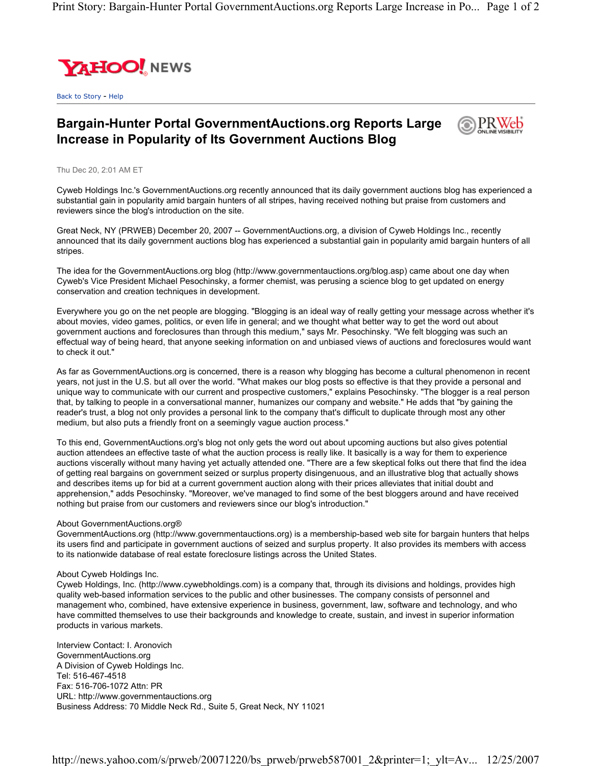

Back to Story - Help

## **Bargain-Hunter Portal GovernmentAuctions.org Reports Large Increase in Popularity of Its Government Auctions Blog**



Thu Dec 20, 2:01 AM ET

Cyweb Holdings Inc.'s GovernmentAuctions.org recently announced that its daily government auctions blog has experienced a substantial gain in popularity amid bargain hunters of all stripes, having received nothing but praise from customers and reviewers since the blog's introduction on the site.

Great Neck, NY (PRWEB) December 20, 2007 -- GovernmentAuctions.org, a division of Cyweb Holdings Inc., recently announced that its daily government auctions blog has experienced a substantial gain in popularity amid bargain hunters of all stripes.

The idea for the GovernmentAuctions.org blog (http://www.governmentauctions.org/blog.asp) came about one day when Cyweb's Vice President Michael Pesochinsky, a former chemist, was perusing a science blog to get updated on energy conservation and creation techniques in development.

Everywhere you go on the net people are blogging. "Blogging is an ideal way of really getting your message across whether it's about movies, video games, politics, or even life in general; and we thought what better way to get the word out about government auctions and foreclosures than through this medium," says Mr. Pesochinsky. "We felt blogging was such an effectual way of being heard, that anyone seeking information on and unbiased views of auctions and foreclosures would want to check it out."

As far as GovernmentAuctions.org is concerned, there is a reason why blogging has become a cultural phenomenon in recent years, not just in the U.S. but all over the world. "What makes our blog posts so effective is that they provide a personal and unique way to communicate with our current and prospective customers," explains Pesochinsky. "The blogger is a real person that, by talking to people in a conversational manner, humanizes our company and website." He adds that "by gaining the reader's trust, a blog not only provides a personal link to the company that's difficult to duplicate through most any other medium, but also puts a friendly front on a seemingly vague auction process."

To this end, GovernmentAuctions.org's blog not only gets the word out about upcoming auctions but also gives potential auction attendees an effective taste of what the auction process is really like. It basically is a way for them to experience auctions viscerally without many having yet actually attended one. "There are a few skeptical folks out there that find the idea of getting real bargains on government seized or surplus property disingenuous, and an illustrative blog that actually shows and describes items up for bid at a current government auction along with their prices alleviates that initial doubt and apprehension," adds Pesochinsky. "Moreover, we've managed to find some of the best bloggers around and have received nothing but praise from our customers and reviewers since our blog's introduction."

## About GovernmentAuctions.org®

GovernmentAuctions.org (http://www.governmentauctions.org) is a membership-based web site for bargain hunters that helps its users find and participate in government auctions of seized and surplus property. It also provides its members with access to its nationwide database of real estate foreclosure listings across the United States.

## About Cyweb Holdings Inc.

Cyweb Holdings, Inc. (http://www.cywebholdings.com) is a company that, through its divisions and holdings, provides high quality web-based information services to the public and other businesses. The company consists of personnel and management who, combined, have extensive experience in business, government, law, software and technology, and who have committed themselves to use their backgrounds and knowledge to create, sustain, and invest in superior information products in various markets.

Interview Contact: I. Aronovich GovernmentAuctions.org A Division of Cyweb Holdings Inc. Tel: 516-467-4518 Fax: 516-706-1072 Attn: PR URL: http://www.governmentauctions.org Business Address: 70 Middle Neck Rd., Suite 5, Great Neck, NY 11021